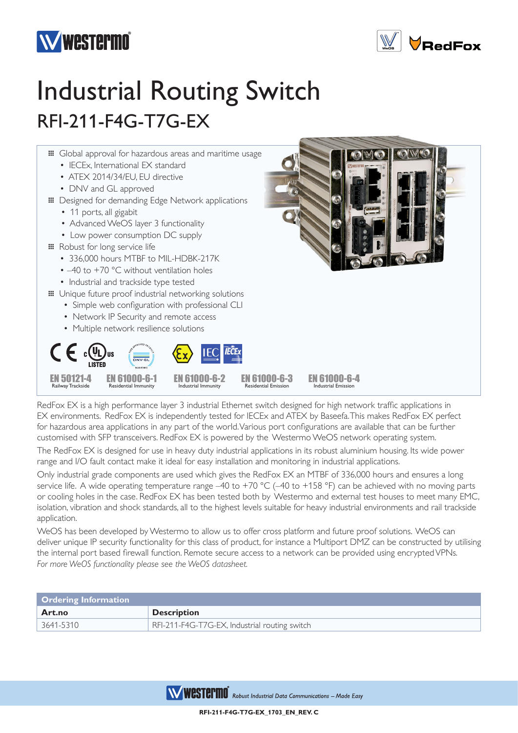



## Industrial Routing Switch RFI-211-F4G-T7G-EX



RedFox EX is a high performance layer 3 industrial Ethernet switch designed for high network traffic applications in EX environments. RedFox EX is independently tested for IECEx and ATEX by Baseefa. This makes RedFox EX perfect for hazardous area applications in any part of the world. Various port configurations are available that can be further customised with SFP transceivers. RedFox EX is powered by the Westermo WeOS network operating system.

The RedFox EX is designed for use in heavy duty industrial applications in its robust aluminium housing. Its wide power range and I/O fault contact make it ideal for easy installation and monitoring in industrial applications.

Only industrial grade components are used which gives the RedFox EX an MTBF of 336,000 hours and ensures a long service life. A wide operating temperature range -40 to +70 °C (-40 to +158 °F) can be achieved with no moving parts or cooling holes in the case. RedFox EX has been tested both by Westermo and external test houses to meet many EMC, isolation, vibration and shock standards, all to the highest levels suitable for heavy industrial environments and rail trackside application.

WeOS has been developed by Westermo to allow us to offer cross platform and future proof solutions. WeOS can deliver unique IP security functionality for this class of product, for instance a Multiport DMZ can be constructed by utilising the internal port based firewall function. Remote secure access to a network can be provided using encrypted VPNs. *For more WeOS functionality please see the WeOS datasheet.*

| Ordering Information |                                               |
|----------------------|-----------------------------------------------|
| Art.no               | <b>Description</b>                            |
| $ 3641 - 5310 $      | RFI-211-F4G-T7G-EX, Industrial routing switch |